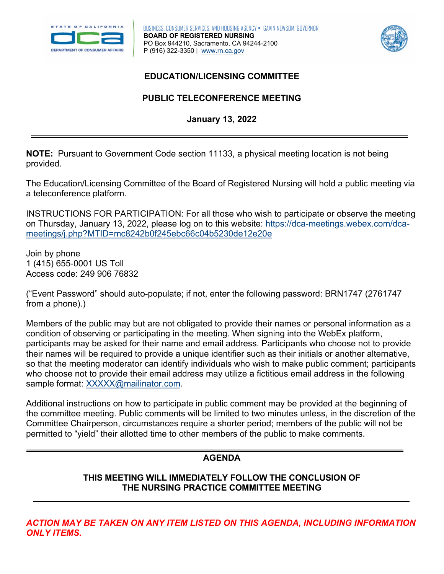



## **EDUCATION/LICENSING COMMITTEE**

# **PUBLIC TELECONFERENCE MEETING January 13, 2022**

 **NOTE:** Pursuant to Government Code section 11133, a physical meeting location is not being provided.

The Education/Licensing Committee of the Board of Registered Nursing will hold a public meeting via a teleconference platform.

INSTRUCTIONS FOR PARTICIPATION: For all those who wish to participate or observe the meeting on Thursday, January 13, 2022, please log on to this website: [https://dca-meetings.webex.com/dca](https://dca-meetings.webex.com/dca-meetings/j.php?MTID=mc8242b0f245ebc66c04b5230de12e20e)[meetings/j.php?MTID=mc8242b0f245ebc66c04b5230de12e20e](https://dca-meetings.webex.com/dca-meetings/j.php?MTID=mc8242b0f245ebc66c04b5230de12e20e) 

Join by phone 1 (415) 655-0001 US Toll Access code: 249 906 76832

("Event Password" should auto-populate; if not, enter the following password: BRN1747 (2761747 from a phone).)

 their names will be required to provide a unique identifier such as their initials or another alternative, Members of the public may but are not obligated to provide their names or personal information as a condition of observing or participating in the meeting. When signing into the WebEx platform, participants may be asked for their name and email address. Participants who choose not to provide so that the meeting moderator can identify individuals who wish to make public comment; participants who choose not to provide their email address may utilize a fictitious email address in the following sample format: [XXXXX@mailinator.com.](mailto:XXXXX@mailinator.com)

Additional instructions on how to participate in public comment may be provided at the beginning of the committee meeting. Public comments will be limited to two minutes unless, in the discretion of the Committee Chairperson, circumstances require a shorter period; members of the public will not be permitted to "yield" their allotted time to other members of the public to make comments.

# **AGENDA**

### **THIS MEETING WILL IMMEDIATELY FOLLOW THE CONCLUSION OF THE NURSING PRACTICE COMMITTEE MEETING**

*ACTION MAY BE TAKEN ON ANY ITEM LISTED ON THIS AGENDA, INCLUDING INFORMATION ONLY ITEMS.*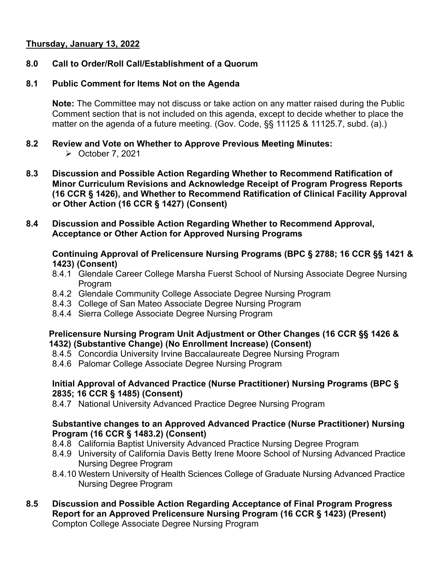## **Thursday, January 13, 2022**

### **8.0 Call to Order/Roll Call/Establishment of a Quorum**

#### **8.1 Public Comment for Items Not on the Agenda**

**Note:** The Committee may not discuss or take action on any matter raised during the Public Comment section that is not included on this agenda, except to decide whether to place the matter on the agenda of a future meeting. (Gov. Code, §§ 11125 & 11125.7, subd. (a).)

- $8.2$ **8.2 Review and Vote on Whether to Approve Previous Meeting Minutes:** 
	- $\triangleright$  October 7, 2021
- **8.3 Discussion and Possible Action Regarding Whether to Recommend Ratification of Minor Curriculum Revisions and Acknowledge Receipt of Program Progress Reports (16 CCR § 1426), and Whether to Recommend Ratification of Clinical Facility Approval or Other Action (16 CCR § 1427) (Consent)**
- **8.4 Discussion and Possible Action Regarding Whether to Recommend Approval, Acceptance or Other Action for Approved Nursing Programs**

### **1423) (Consent) Continuing Approval of Prelicensure Nursing Programs (BPC § 2788; 16 CCR §§ 1421 &**

- 8.4.1 Glendale Career College Marsha Fuerst School of Nursing Associate Degree Nursing Program
- 8.4.2 Glendale Community College Associate Degree Nursing Program
- 8.4.3 College of San Mateo Associate Degree Nursing Program
- 8.4.4 Sierra College Associate Degree Nursing Program

#### **Prelicensure Nursing Program Unit Adjustment or Other Changes (16 CCR §§ 1426 & 1432) (Substantive Change) (No Enrollment Increase) (Consent)**

- 8.4.5 Concordia University Irvine Baccalaureate Degree Nursing Program
- 8.4.6 Palomar College Associate Degree Nursing Program

#### **Initial Approval of Advanced Practice (Nurse Practitioner) Nursing Programs (BPC § 2835; 16 CCR § 1485) (Consent)**

8.4.7 National University Advanced Practice Degree Nursing Program

#### **Program (16 CCR § 1483.2) (Consent) Substantive changes to an Approved Advanced Practice (Nurse Practitioner) Nursing**

- 8.4.8 California Baptist University Advanced Practice Nursing Degree Program
- 8.4.9 University of California Davis Betty Irene Moore School of Nursing Advanced Practice Nursing Degree Program
- 8.4.10 Western University of Health Sciences College of Graduate Nursing Advanced Practice Nursing Degree Program
- **8.5 Discussion and Possible Action Regarding Acceptance of Final Program Progress Report for an Approved Prelicensure Nursing Program (16 CCR § 1423) (Present)**  Compton College Associate Degree Nursing Program